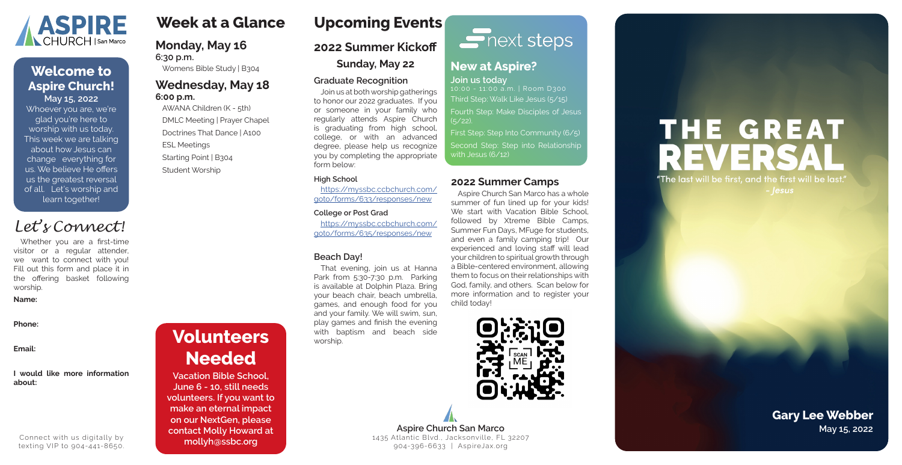# **Week at a Glance**

#### **Monday, May 16 6:30 p.m.**

Womens Bible Study | B304

#### **Wednesday, May 18 6:00 p.m.**

AWANA Children (K - 5th) DMLC Meeting | Prayer Chapel Doctrines That Dance | A100 ESL Meetings Starting Point | B304 Student Worship

#### **2022 Summer Camps**

Aspire Church San Marco has a whole summer of fun lined up for your kids! We start with Vacation Bible School. followed by Xtreme Bible Camps, Summer Fun Days, MFuge for students, and even a family camping trip! Our experienced and loving staff will lead your children to spiritual growth through a Bible-centered environment, allowing them to focus on their relationships with God, family, and others. Scan below for more information and to register your child today!



**2022 Summer Kickoff**

**Sunday, May 22**

**Graduate Recognition**

Join us at both worship gatherings to honor our 2022 graduates. If you or someone in your family who regularly attends Aspire Church is graduating from high school, college, or with an advanced degree, please help us recognize you by completing the appropriate

form below: **High School**

https://myssbc.ccbchurch.com/ goto/forms/633/responses/new

#### **College or Post Grad**

**Aspire Church San Marco May 15, 2022** 1435 Atlantic Blvd., Jacksonville, FL 32207 904-396-6633 | AspireJax.org

# THE GREAT REVERS "The last will be first, and the first will be last." - |esus

https://myssbc.ccbchurch.com/ goto/forms/635/responses/new

#### **Beach Day!**

That evening, join us at Hanna Park from 5:30-7:30 p.m. Parking is available at Dolphin Plaza. Bring your beach chair, beach umbrella, games, and enough food for you and your family. We will swim, sun, play games and finish the evening with baptism and beach side worship.

# $\sum$  next steps

#### **New at Aspire? Join us today**

10:00 - 11:00 a.m. | Room D300 Third Step: Walk Like Jesus (5/15) Fourth Step: Make Disciples of Jesus

 $(5/22)$ .

First Step: Step Into Community (6/5) Second Step: Step into Relationship with Jesus (6/12)

**Volunteers** 

**Needed**

**Vacation Bible School, June 6 - 10, still needs volunteers. If you want to make an eternal impact on our NextGen, please contact Molly Howard at mollyh@ssbc.org**

Whoever you are, we're glad you're here to worship with us today. This week we are talking about how Jesus can change everything for us. We believe He offers us the greatest reversal of all. Let's worship and learn together!



### **May 15, 2022 Welcome to Aspire Church!**

# **Gary Lee Webber**

Whether you are a first-time visitor or a regular attender, we want to connect with you! Fill out this form and place it in the offering basket following worship.

#### **Name:**

**Phone:**

**Email:**

#### **I would like more information about:**



Connect with us digitally by texting VIP to 904-441-8650.

**Upcoming Events**